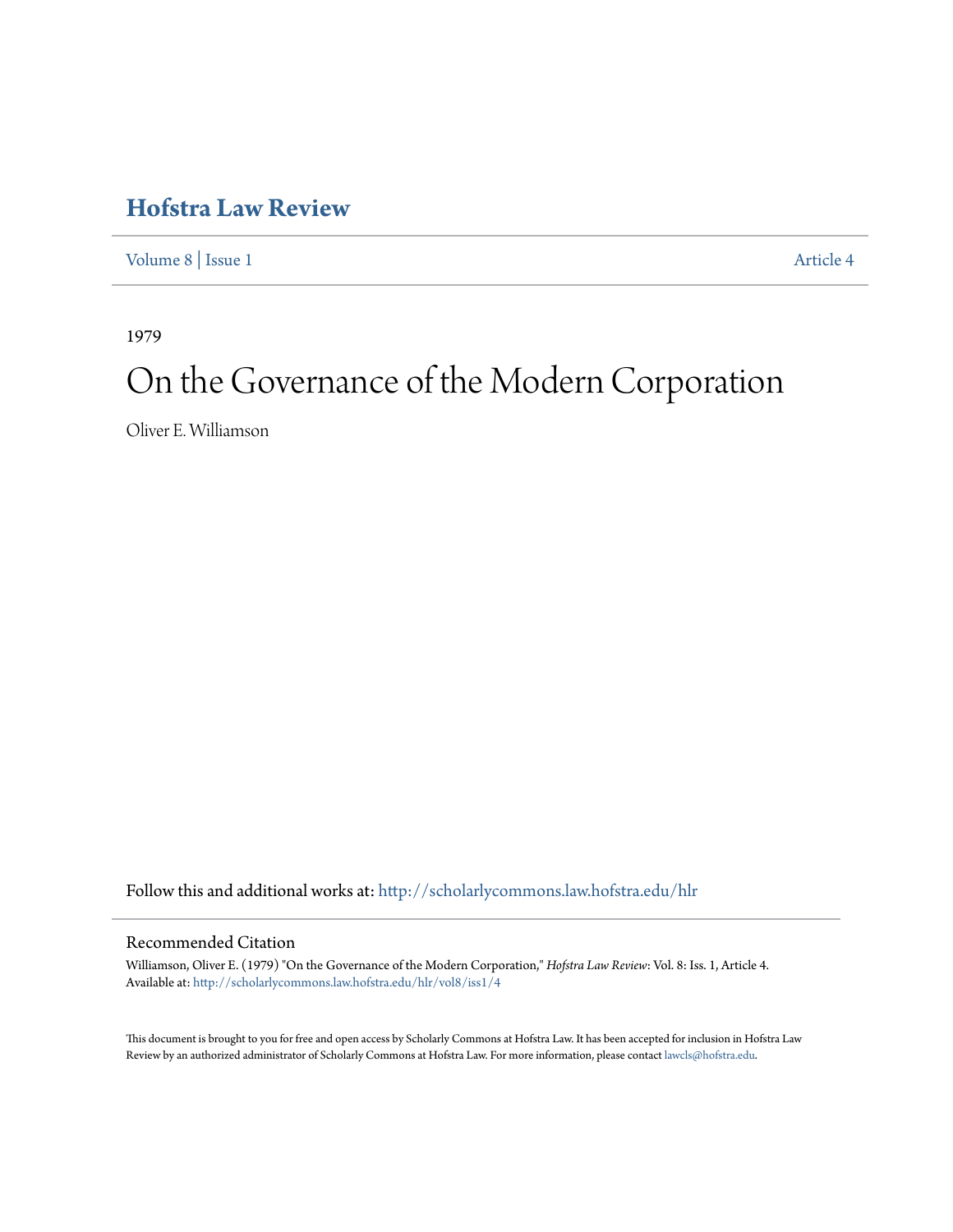# **[Hofstra Law Review](http://scholarlycommons.law.hofstra.edu/hlr?utm_source=scholarlycommons.law.hofstra.edu%2Fhlr%2Fvol8%2Fiss1%2F4&utm_medium=PDF&utm_campaign=PDFCoverPages)**

[Volume 8](http://scholarlycommons.law.hofstra.edu/hlr/vol8?utm_source=scholarlycommons.law.hofstra.edu%2Fhlr%2Fvol8%2Fiss1%2F4&utm_medium=PDF&utm_campaign=PDFCoverPages) | [Issue 1](http://scholarlycommons.law.hofstra.edu/hlr/vol8/iss1?utm_source=scholarlycommons.law.hofstra.edu%2Fhlr%2Fvol8%2Fiss1%2F4&utm_medium=PDF&utm_campaign=PDFCoverPages) [Article 4](http://scholarlycommons.law.hofstra.edu/hlr/vol8/iss1/4?utm_source=scholarlycommons.law.hofstra.edu%2Fhlr%2Fvol8%2Fiss1%2F4&utm_medium=PDF&utm_campaign=PDFCoverPages)

1979

# On the Governance of the Modern Corporation

Oliver E. Williamson

Follow this and additional works at: [http://scholarlycommons.law.hofstra.edu/hlr](http://scholarlycommons.law.hofstra.edu/hlr?utm_source=scholarlycommons.law.hofstra.edu%2Fhlr%2Fvol8%2Fiss1%2F4&utm_medium=PDF&utm_campaign=PDFCoverPages)

# Recommended Citation

Williamson, Oliver E. (1979) "On the Governance of the Modern Corporation," *Hofstra Law Review*: Vol. 8: Iss. 1, Article 4. Available at: [http://scholarlycommons.law.hofstra.edu/hlr/vol8/iss1/4](http://scholarlycommons.law.hofstra.edu/hlr/vol8/iss1/4?utm_source=scholarlycommons.law.hofstra.edu%2Fhlr%2Fvol8%2Fiss1%2F4&utm_medium=PDF&utm_campaign=PDFCoverPages)

This document is brought to you for free and open access by Scholarly Commons at Hofstra Law. It has been accepted for inclusion in Hofstra Law Review by an authorized administrator of Scholarly Commons at Hofstra Law. For more information, please contact [lawcls@hofstra.edu](mailto:lawcls@hofstra.edu).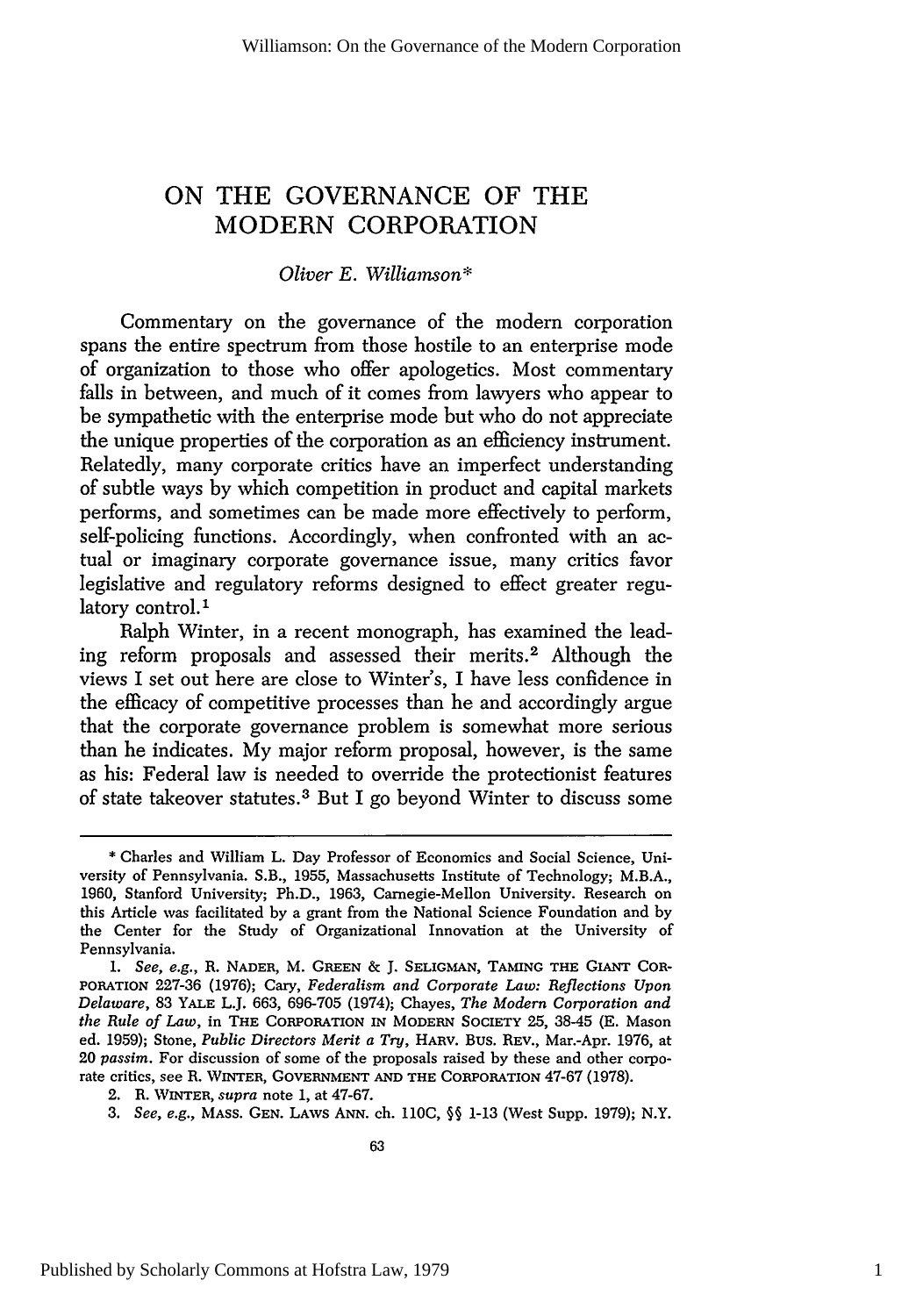# **ON** THE **GOVERNANCE** OF THE MODERN CORPORATION

# *Oliver E. Williarnson\**

Commentary on the governance of the modern corporation spans the entire spectrum from those hostile to an enterprise mode of organization to those who offer apologetics. Most commentary falls in between, and much of it comes from lawyers who appear to be sympathetic with the enterprise mode but who do not appreciate the unique properties of the corporation as an efficiency instrument. Relatedly, many corporate critics have an imperfect understanding of subtle ways by which competition in product and capital markets performs, and sometimes can be made more effectively to perform, self-policing functions. Accordingly, when confronted with an actual or imaginary corporate governance issue, many critics favor legislative and regulatory reforms designed to effect greater regulatory control.<sup>1</sup>

Ralph Winter, in a recent monograph, has examined the leading reform proposals and assessed their merits.2 Although the views I set out here are close to Winter's, I have less confidence in the efficacy of competitive processes than he and accordingly argue that the corporate governance problem is somewhat more serious than he indicates. My major reform proposal, however, is the same as his: Federal law is needed to override the protectionist features of state takeover statutes.3 But I go beyond Winter to discuss some

<sup>\*</sup> Charles and William L. Day Professor of Economics and Social Science, University of Pennsylvania. S.B., 1955, Massachusetts Institute of Technology; M.B.A., 1960, Stanford University; Ph.D., 1963, Carnegie-Mellon University. Research on this Article was facilitated by a grant from the National Science Foundation and by the Center for the Study of Organizational Innovation at the University of Pennsylvania.

*<sup>1.</sup> See, e.g.,* R. **NADER,** M. **GREEN &** J. **SELIGMAN,** TAMING **THE** GIANT CoR-PORATION 227-36 (1976); Cary, *Federalism and Corporate Law: Reflections Upon Delaware,* 83 YALE L.J. 663, 696-705 (1974); Chayes, *The Modern Corporation and the Rule of Law,* in THE CORPORATION IN MODERN **SOCIETY** 25, 38-45 (E. Mason ed. 1959); Stone, *Public Directors Merit a Try,* HARV. Bus. REV., Mar.-Apr. 1976, at 20 *passim.* For discussion of some of the proposals raised by these and other corporate critics, see R. WINTER, **GOVERNMENT AND THE** CORPORATION 47-67 (1978).

<sup>2.</sup> R. **WINTER,** *supra* note 1, at 47-67.

*<sup>3.</sup> See, e.g.,* MAss. **GEN.** LAws **ANN.** ch. **110C, §§** 1-13 (West Supp. 1979); N.Y.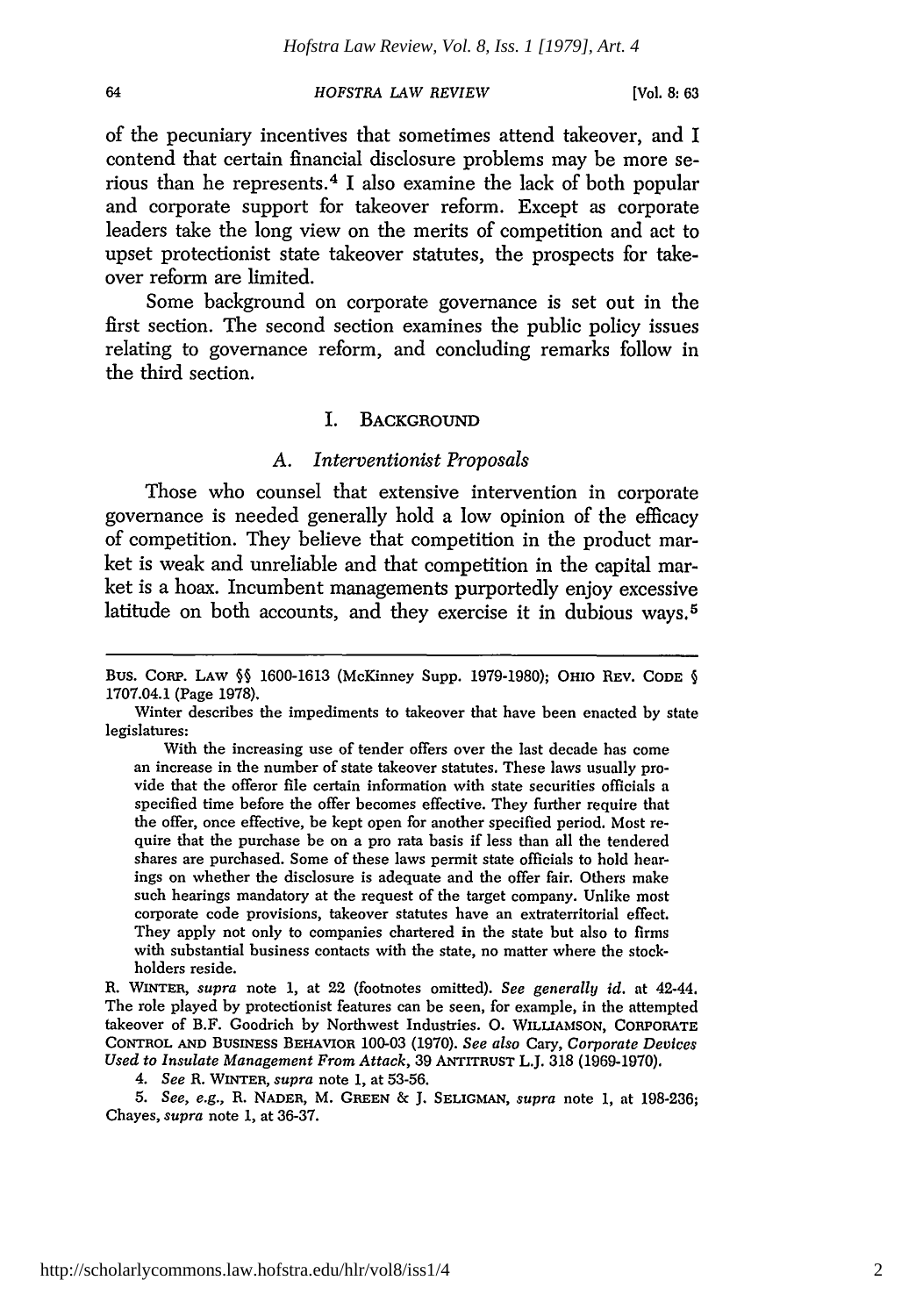**[Vol. 8: 63**

of the pecuniary incentives that sometimes attend takeover, and I contend that certain financial disclosure problems may be more serious than he represents. 4 I also examine the lack of both popular and corporate support for takeover reform. Except as corporate leaders take the long view on the merits of competition and act to upset protectionist state takeover statutes, the prospects for takeover reform are limited.

Some background on corporate governance is set out in the first section. The second section examines the public policy issues relating to governance reform, and concluding remarks follow in the third section.

# I. BACKGROUND

# *A. Interventionist Proposals*

Those who counsel that extensive intervention in corporate governance is needed generally hold a low opinion of the efficacy of competition. They believe that competition in the product market is weak and unreliable and that competition in the capital market is a hoax. Incumbent managements purportedly enjoy excessive latitude on both accounts, and they exercise it in dubious ways.<sup>5</sup>

R. WINTER, *supra* note 1, at 22 (footnotes omitted). *See generally id.* at 42-44. The role played by protectionist features can be seen, for example, in the attempted takeover of B.F. Goodrich **by** Northwest Industries. **0. WILLIAMSON, CORPORATE CONTROL AND BuSINEsS BEHAVIOR** 100-03 (1970). *See also* Cary, *Corporate Devices Used to Insulate Management From Attack,* 39 **ANTITRUST** L.J. 318 (1969-1970).

*4. See* R. **WINTER,** *supra* note 1, at 53-56.

*5. See, e.g.,* R. **NADER,** M. **GREEN** & J. **SELIGMAN,** *supra* note 1, at 198-236; Chayes, *supra* note 1, at 36-37.

Bus. CORP. LAW **§§** 1600-1613 (McKinney Supp. 1979-1980); OHIO REV. **CODE** § 1707.04.1 (Page 1978).

Winter describes the impediments to takeover that have been enacted by state legislatures:

With the increasing use of tender offers over the last decade has come an increase in the number of state takeover statutes. These laws usually provide that the offeror file certain information with state securities officials a specified time before the offer becomes effective. They further require that the offer, once effective, be kept open for another specified period. Most require that the purchase be on a pro rata basis if less than all the tendered shares are purchased. Some of these laws permit state officials to hold hearings on whether the disclosure is adequate and the offer fair. Others make such hearings mandatory at the request of the target company. Unlike most corporate code provisions, takeover statutes have an extraterritorial effect. They apply not only to companies chartered in the state but also to firms with substantial business contacts with the state, no matter where the stockholders reside.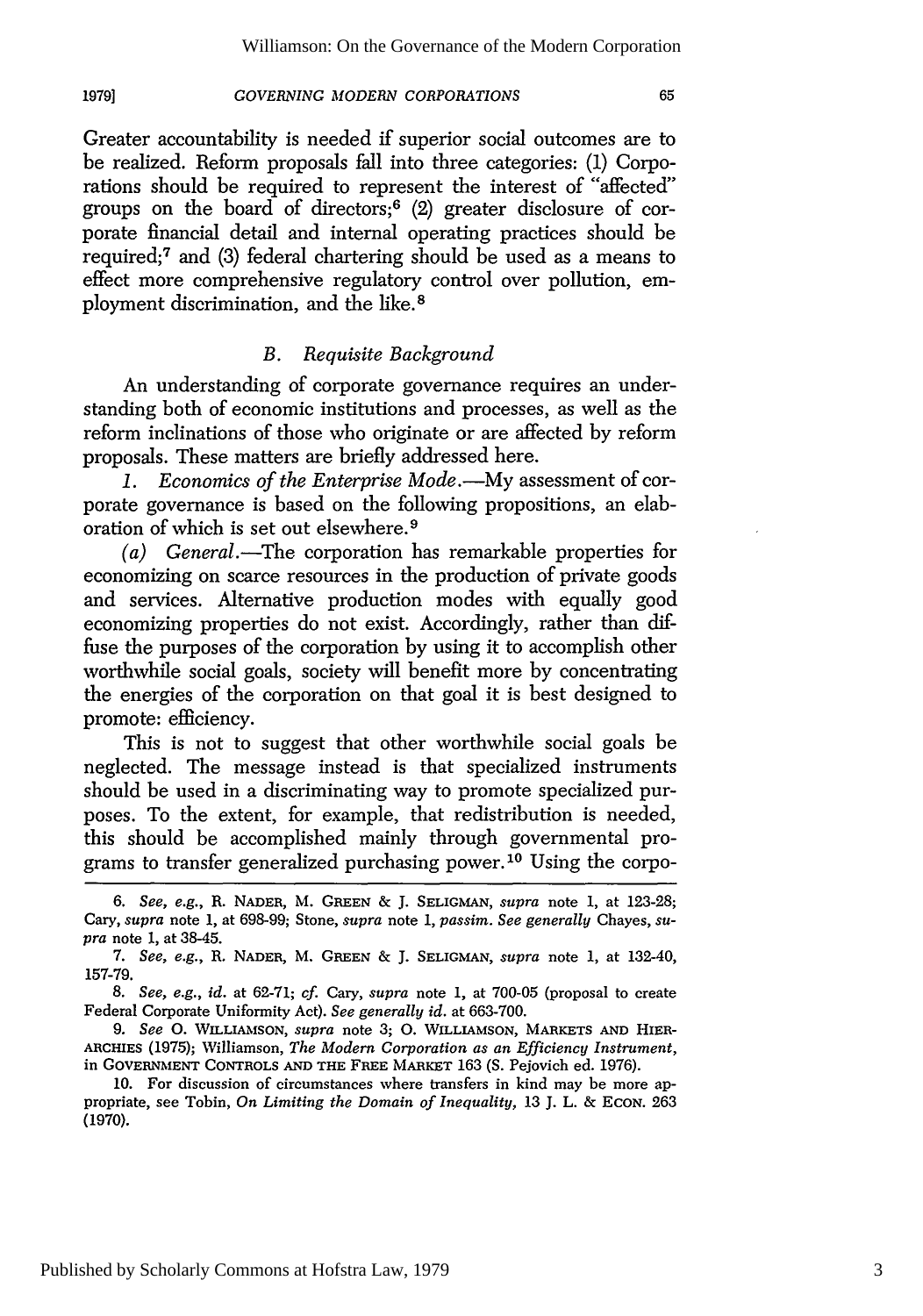Greater accountability is needed if superior social outcomes are to be realized. Reform proposals fall into three categories: (1) Corporations should be required to represent the interest of "affected" groups on the board of directors; 6 (2) greater disclosure of corporate financial detail and internal operating practices should be required;7 and (3) federal chartering should be used as a means to effect more comprehensive regulatory control over pollution, employment discrimination, and the like. <sup>8</sup>

# *B. Requisite Background*

An understanding of corporate governance requires an understanding both of economic institutions and processes, as well as the reform inclinations of those who originate or are affected by reform proposals. These matters are briefly addressed here.

1. Economics of the Enterprise Mode.-My assessment of corporate governance is based on the following propositions, an elaboration of which is set out elsewhere. <sup>9</sup>

*(a) General.-The* corporation has remarkable properties for economizing on scarce resources in the production of private goods and services. Alternative production modes with equally good economizing properties do not exist. Accordingly, rather than diffuse the purposes of the corporation by using it to accomplish other worthwhile social goals, society will benefit more by concentrating the energies of the corporation on that goal it is best designed to promote: efficiency.

This is not to suggest that other worthwhile social goals be neglected. The message instead is that specialized instruments should be used in a discriminating way to promote specialized purposes. To the extent, for example, that redistribution is needed, this should be accomplished mainly through governmental programs to transfer generalized purchasing power.10 Using the corpo-

9. *See 0.* **WILLIAMSON,** *supra* note 3; **0.** WILLIAMSON, MARKETS **AND** HIER-**ARCHIES** (1975); Williamson, *The Modern Corporation as an Efficiency Instrument,* in **GOVERNMENT CONTROLS AND THE** FREE MARKET 163 (S. Pejovich ed. 1976).

10. For discussion of circumstances where transfers in kind may be more appropriate, see Tobin, *On Limiting the Domain of Inequality,* 13 J. L. & ECON. 263 (1970).

65

*<sup>6.</sup> See, e.g.,* R. **NADER,** M. **GREEN** *&* J. **SELIGMAN,** *supra* note 1, at 123-28; Cary, *supra* note 1, at 698-99; Stone, *supra* note 1, *passim. See generally* Chayes, *supra* note 1, at 38-45.

<sup>7.</sup> *See, e.g.,* R. **NADER,** M. **GREEN** & J. **SELIGMAN,** *supra* note 1, at 132-40, 157-79.

*<sup>8.</sup> See,* e.g., *id.* at 62-71; *cf.* Cary, *supra* note 1, at 700-05 (proposal to create Federal Corporate Uniformity Act). *See generally id.* at 663-700.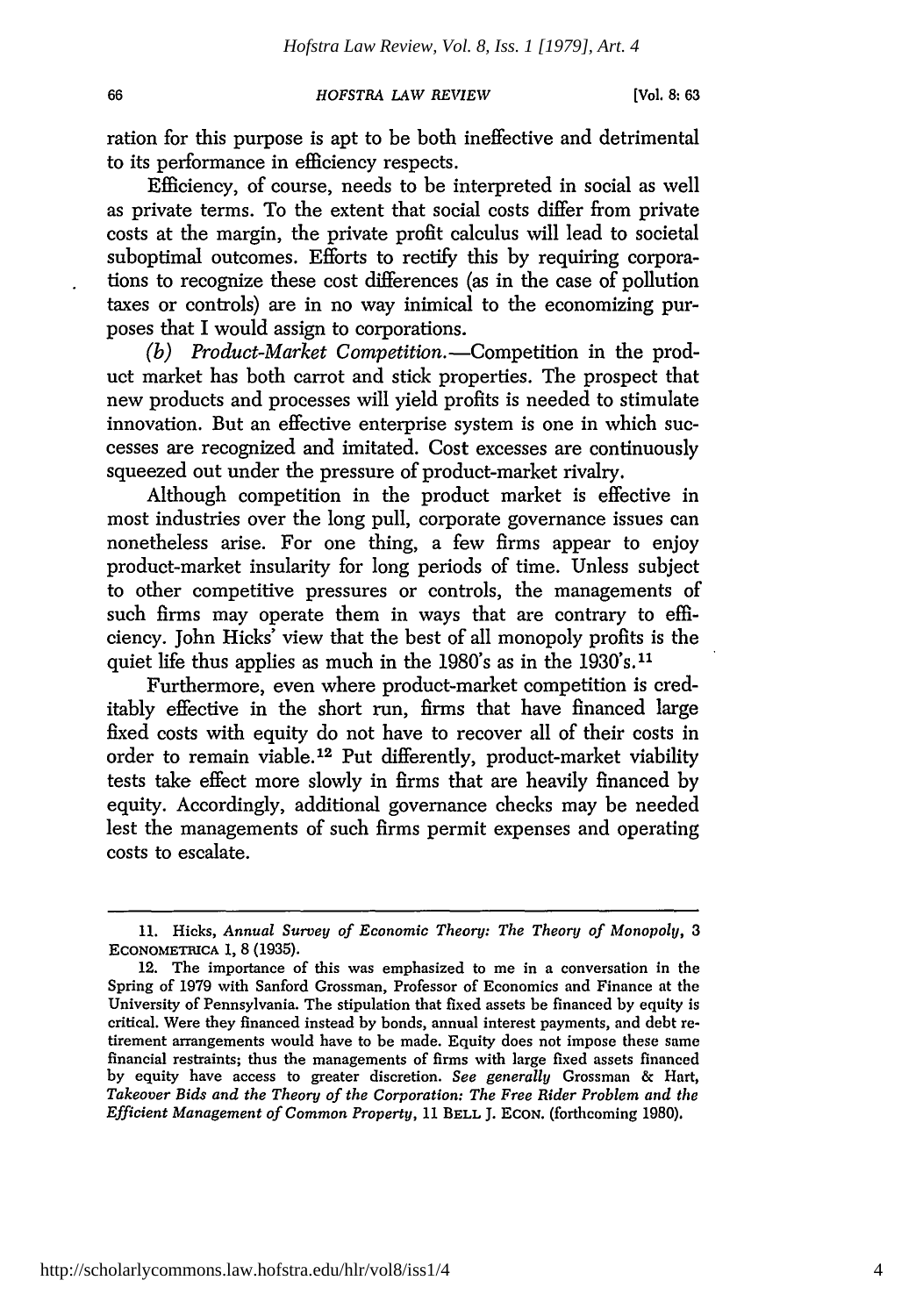ration for this purpose is apt to be both ineffective and detrimental to its performance in efficiency respects.

Efficiency, of course, needs to be interpreted in social as well as private terms. To the extent that social costs differ from private costs at the margin, the private profit calculus will lead to societal suboptimal outcomes. Efforts to rectify this by requiring corporations to recognize these cost differences (as in the case of pollution taxes or controls) are in no way inimical to the economizing purposes that I would assign to corporations.

*(b) Product-Market Competition.-Competition* in the product market has both carrot and stick properties. The prospect that new products and processes will yield profits is needed to stimulate innovation. But an effective enterprise system is one in which successes are recognized and imitated. Cost excesses are continuously squeezed out under the pressure of product-market rivalry.

Although competition in the product market is effective in most industries over the long pull, corporate governance issues can nonetheless arise. For one thing, a few firms appear to enjoy product-market insularity for long periods of time. Unless subject to other competitive pressures or controls, the managements of such firms may operate them in ways that are contrary to efficiency. John Hicks' view that the best of all monopoly profits is the quiet life thus applies as much in the 1980's as in the 1930's.11

Furthermore, even where product-market competition is creditably effective in the short run, firms that have financed large fixed costs with equity do not have to recover all of their costs in order to remain viable. 12 Put differently, product-market viability tests take effect more slowly in firms that are heavily financed by equity. Accordingly, additional governance checks may be needed lest the managements of such firms permit expenses and operating costs to escalate.

<sup>11.</sup> Hicks, *Annual Survey of Economic Theory: The Theory of Monopoly, 3* ECONOMETBICA **1,** 8 (1935).

<sup>12.</sup> The importance of this was emphasized to me in a conversation in the Spring of 1979 with Sanford Grossman, Professor of Economics and Finance at the University of Pennsylvania. The stipulation that fixed assets be financed by equity is critical. Were they financed instead by bonds, annual interest payments, and debt retirement arrangements would have to be made. Equity does not impose these same financial restraints; thus the managements of firms with large fixed assets financed by equity have access to greater discretion. *See generally* Grossman & Hart, *Takeover Bids and the Theory of the Corporation: The Free Rider Problem and the Efficient Management of Common Property,* 11 BELL J. ECON. (forthcoming 1980).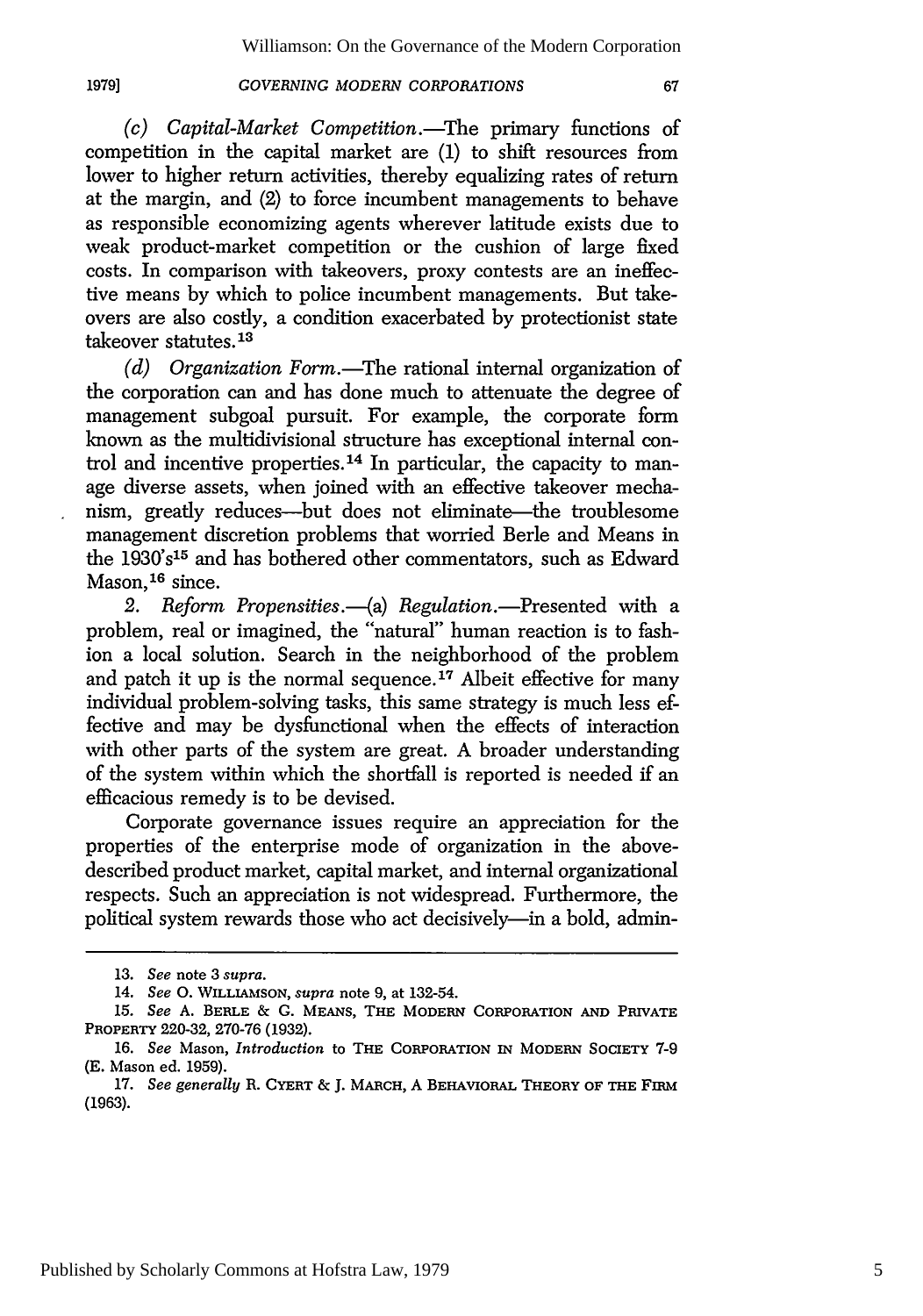**19791**

*(c) Capital-Market Competition.-The* primary functions of competition in the capital market are (1) to shift resources from lower to higher return activities, thereby equalizing rates of return at the margin, and (2) to force incumbent managements to behave as responsible economizing agents wherever latitude exists due to weak product-market competition or the cushion of large fixed costs. In comparison with takeovers, proxy contests are an ineffective means by which to police incumbent managements. But takeovers are also costly, a condition exacerbated by protectionist state takeover statutes.<sup>13</sup>

*(d)* Organization Form.—The rational internal organization of the corporation can and has done much to attenuate the degree of management subgoal pursuit. For example, the corporate form known as the multidivisional structure has exceptional internal control and incentive properties.<sup>14</sup> In particular, the capacity to manage diverse assets, when joined with an effective takeover mechanism, greatly reduces--but does not eliminate--the troublesome management discretion problems that worried Berle and Means in the 1930's<sup>15</sup> and has bothered other commentators, such as Edward Mason.<sup>16</sup> since.

2. Reform Propensities.--(a) Regulation.---Presented with a problem, real or imagined, the "natural" human reaction is to fashion a local solution. Search in the neighborhood of the problem and patch it up is the normal sequence.<sup>17</sup> Albeit effective for many individual problem-solving tasks, this same strategy is much less effective and may be dysfunctional when the effects of interaction with other parts of the system are great. A broader understanding of the system within which the shortfall is reported is needed if an efficacious remedy is to be devised.

Corporate governance issues require an appreciation for the properties of the enterprise mode of organization in the abovedescribed product market, capital market, and internal organizational respects. Such an appreciation is not widespread. Furthermore, the political system rewards those who act decisively-in a bold, admin-

<sup>13.</sup> *See* note 3 *supra.*

<sup>14.</sup> *See 0.* WILLIAMSON, *supra* note 9, at 132-54.

**<sup>15.</sup>** *See* A. **BERLE** & **G.** MEANS, **THE** MODERN CORPORATION **AND** PRIVATE PROPERTY 220-32, 270-76 (1932).

<sup>16.</sup> *See* Mason, *Introduction* to THE CORPORATION IN MODERN **SOCIETY 7-9** (E. Mason ed. 1959).

<sup>17.</sup> *See generally* R. **CYERT** & J. MARCH, A BEHAVIORAL **THEORY** OF **THE** FIRM (1963).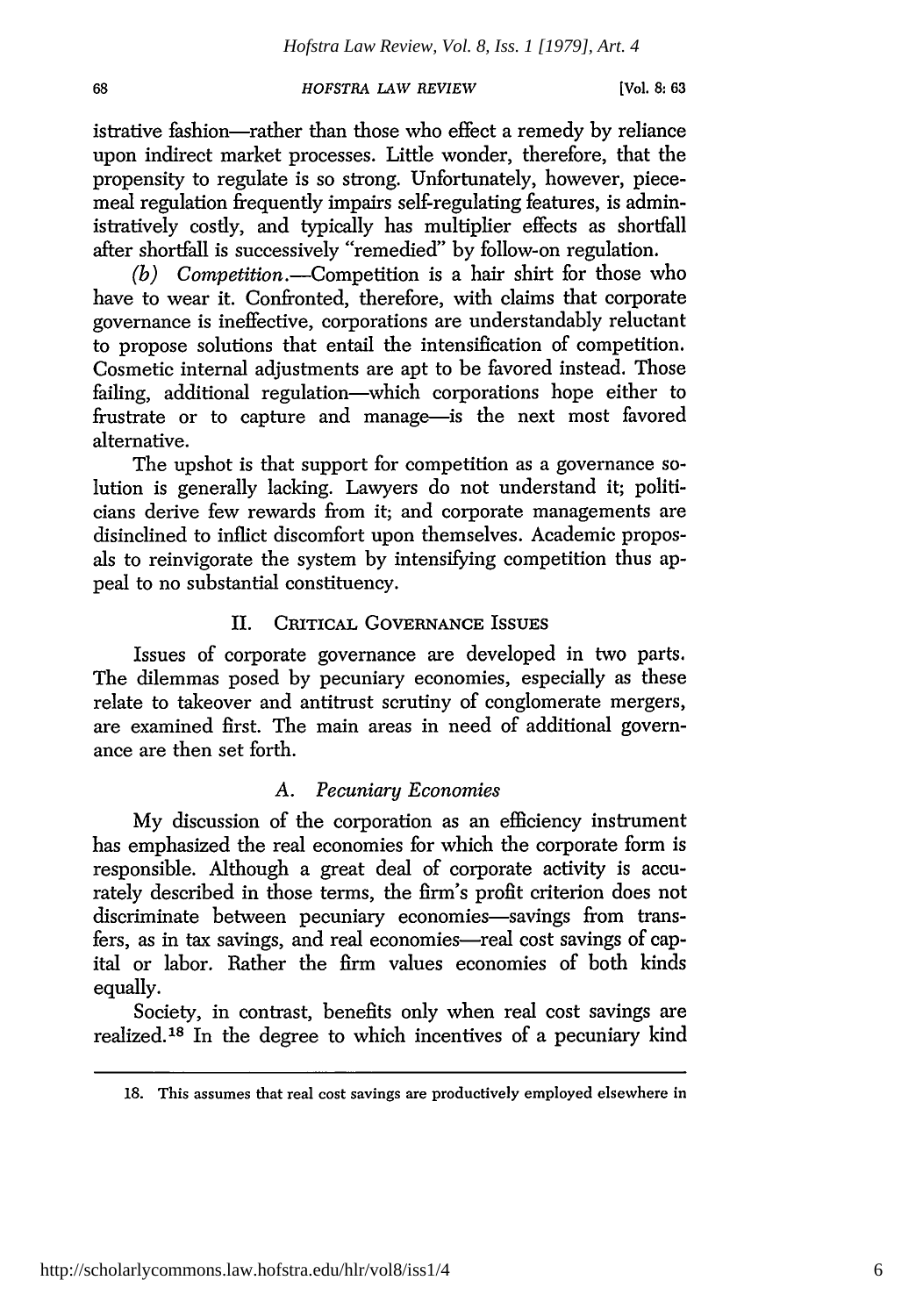68

istrative fashion-rather than those who effect a remedy by reliance upon indirect market processes. Little wonder, therefore, that the propensity to regulate is so strong. Unfortunately, however, piecemeal regulation frequently impairs self-regulating features, is administratively costly, and typically has multiplier effects as shortfall after shortfall is successively "remedied" by follow-on regulation.

*(b) Competition.-Competition* is a hair shirt for those who have to wear it. Confronted, therefore, with claims that corporate governance is ineffective, corporations are understandably reluctant to propose solutions that entail the intensification of competition. Cosmetic internal adjustments are apt to be favored instead. Those failing, additional regulation-which corporations hope either to frustrate or to capture and manage-is the next most favored alternative.

The upshot is that support for competition as a governance solution is generally lacking. Lawyers do not understand it; politicians derive few rewards from it; and corporate managements are disinclined to inflict discomfort upon themselves. Academic proposals to reinvigorate the system by intensifying competition thus appeal to no substantial constituency.

# II. CRITICAL GOVERNANCE **ISSUES**

Issues of corporate governance are developed in two parts. The dilemmas posed by pecuniary economies, especially as these relate to takeover and antitrust scrutiny of conglomerate mergers, are examined first. The main areas in need of additional governance are then set forth.

# *A. Pecuniary Economies*

My discussion of the corporation as an efficiency instrument has emphasized the real economies for which the corporate form is responsible. Although a great deal of corporate activity is accurately described in those terms, the firm's profit criterion does not discriminate between pecuniary economies-savings from transfers, as in tax savings, and real economies-real cost savings of capital or labor. Rather the firm values economies of both kinds equally.

Society, in contrast, benefits only when real cost savings are realized.<sup>18</sup> In the degree to which incentives of a pecuniary kind

<sup>18.</sup> This assumes that real cost savings are productively employed elsewhere in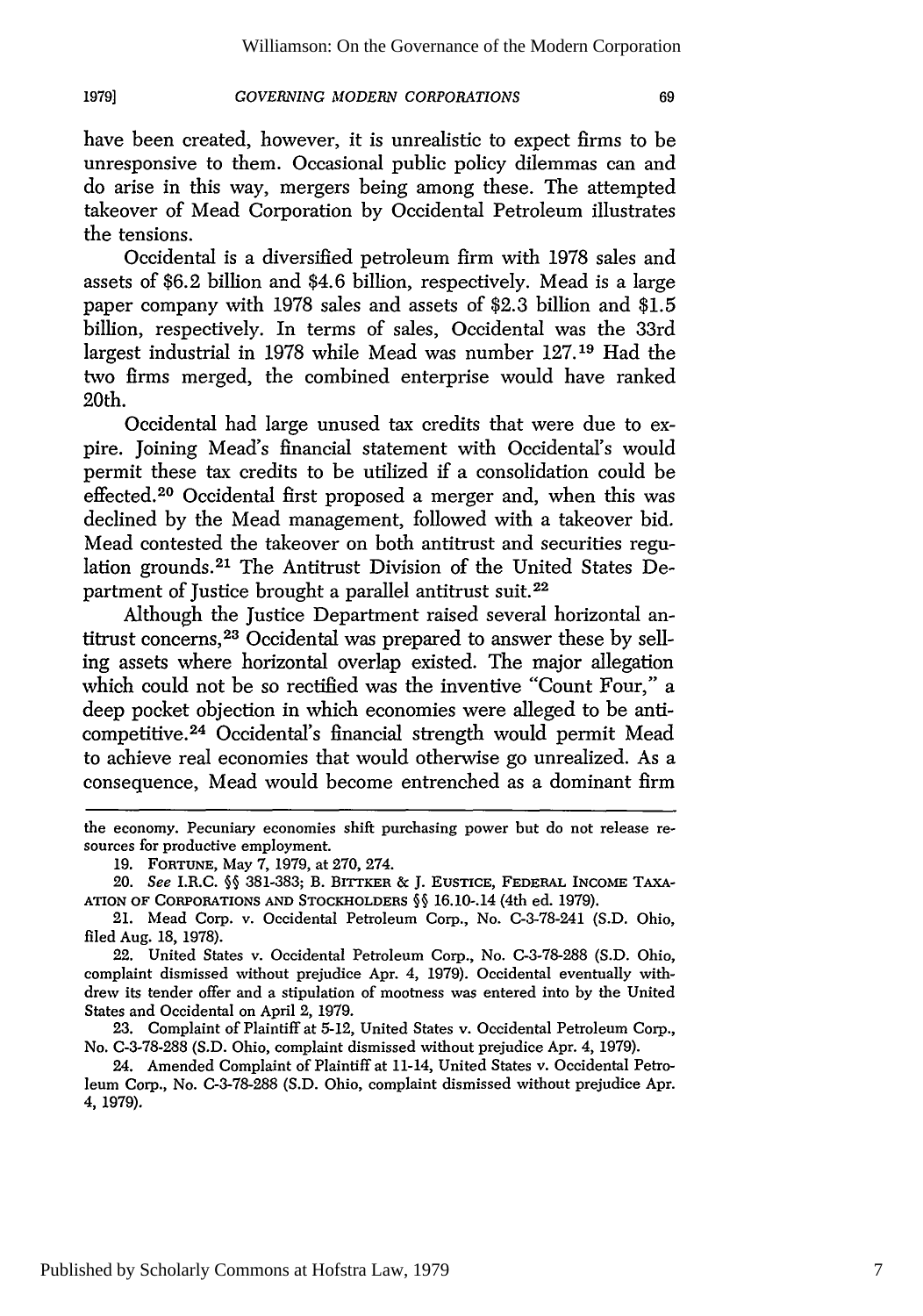have been created, however, it is unrealistic to expect firms to be unresponsive to them. Occasional public policy dilemmas can and do arise in this way, mergers being among these. The attempted takeover of Mead Corporation by Occidental Petroleum illustrates the tensions.

Occidental is a diversified petroleum firm with 1978 sales and assets of \$6.2 billion and \$4.6 billion, respectively. Mead is a large paper company with 1978 sales and assets of \$2.3 billion and \$1.5 billion, respectively. In terms of sales, Occidental was the 33rd largest industrial in 1978 while Mead was number 127.19 Had the two firms merged, the combined enterprise would have ranked 20th.

Occidental had large unused tax credits that were due to expire. Joining Mead's financial statement with Occidental's would permit these tax credits to be utilized if a consolidation could be effected. 20 Occidental first proposed a merger and, when this was declined by the Mead management, followed with a takeover bid. Mead contested the takeover on both antitrust and securities regulation grounds. 21 The Antitrust Division of the United States Department of Justice brought a parallel antitrust suit.<sup>22</sup>

Although the Justice Department raised several horizontal antitrust concerns, 23 Occidental was prepared to answer these by selling assets where horizontal overlap existed. The major allegation which could not be so rectified was the inventive "Count Four," a deep pocket objection in which economies were alleged to be anticompetitive. 24 Occidental's financial strength would permit Mead to achieve real economies that would otherwise go unrealized. As a consequence, Mead would become entrenched as a dominant firm

the economy. Pecuniary economies shift purchasing power but do not release resources for productive employment.

<sup>19.</sup> FORTUNE, May 7, 1979, at 270, 274.

*<sup>20.</sup> See* I.R.C. **§§** 381-383; B. BITTKER & **J.** EusTicE, FEDERAL INCOME TAXA-**ATION OF CORPORATIONS AND STOCKHOLDERS**  $\S$  **16.10-.14 (4th ed. 1979).** 

<sup>21.</sup> Mead Corp. v. Occidental Petroleum Corp., No. C-3-78-241 (S.D. Ohio, filed Aug. 18, 1978).

<sup>22.</sup> United States v. Occidental Petroleum Corp., No. C-3-78-288 (S.D. Ohio, complaint dismissed without prejudice Apr. 4, 1979). Occidental eventually withdrew its tender offer and a stipulation of mootness was entered into by the United States and Occidental on April 2, 1979.

<sup>23.</sup> Complaint of Plaintiff at 5-12, United States v. Occidental Petroleum Corp., No. C-3-78-288 (S.D. Ohio, complaint dismissed without prejudice Apr. 4, 1979).

<sup>24.</sup> Amended Complaint of Plaintiff at 11-14, United States v. Occidental Petroleum Corp., No. C-3-78-288 (S.D. Ohio, complaint dismissed without prejudice Apr. 4, 1979).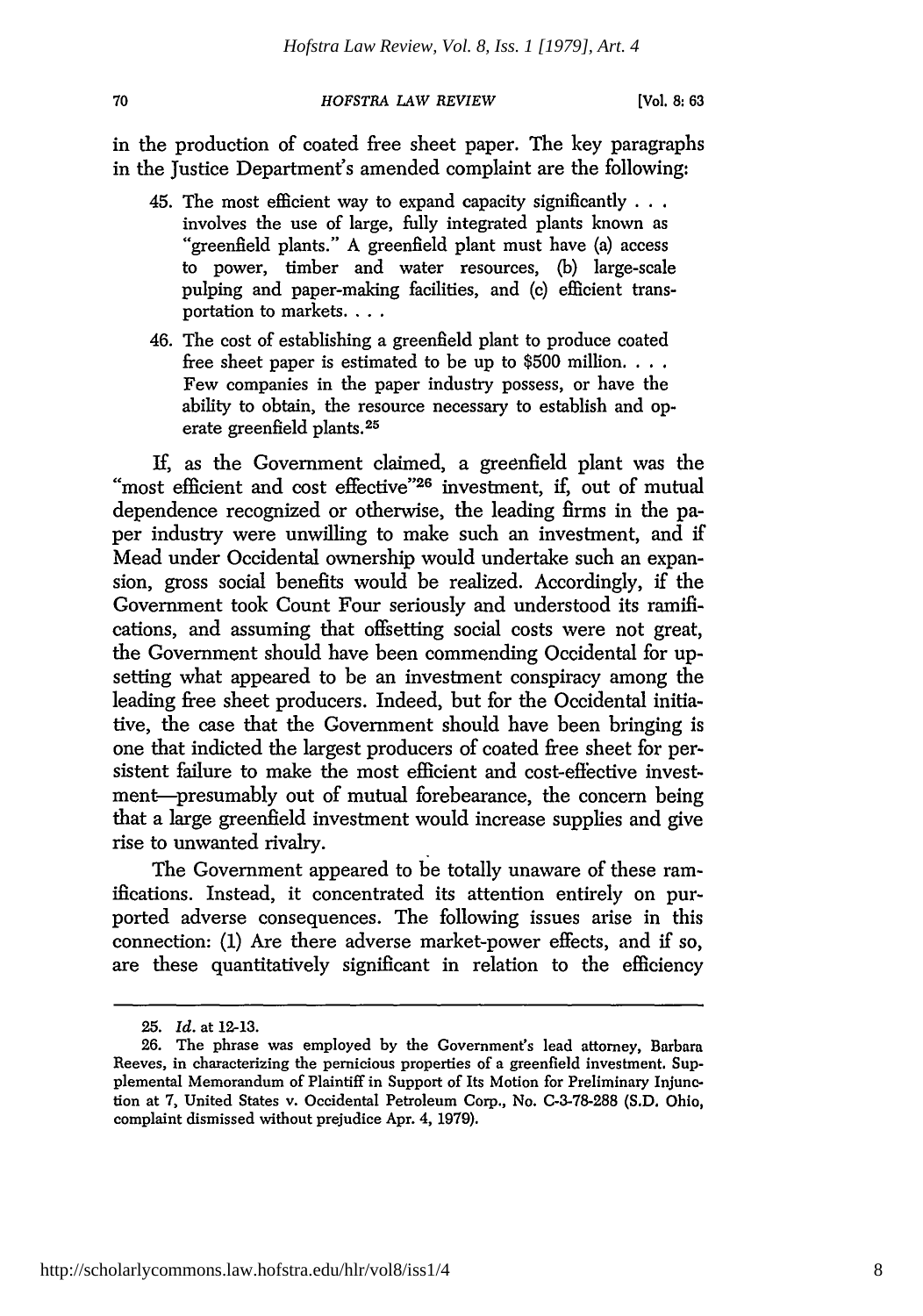in the production of coated free sheet paper. The key paragraphs in the Justice Department's amended complaint are the following:

- 45. The most efficient way to expand capacity significantly **...** "greenfield plants." A greenfield plant must have (a) access to power, timber and water resources, **(b)** large-scale pulping and paper-making facilities, and (c) efficient transportation to markets....
- 46. The cost of establishing a greenfield plant to produce coated free sheet paper is estimated to be up to \$500 million **...** Few companies in the paper industry possess, or have the ability to obtain, the resource necessary to establish and operate greenfield plants.<sup>25</sup>

**if,** as the Government claimed, a greenfield plant was the "most efficient and cost effective"<sup>26</sup> investment, if, out of mutual dependence recognized or otherwise, the leading firms in the paper industry were unwilling to make such an investment, and if Mead under Occidental ownership would undertake such an expansion, gross social benefits would be realized. Accordingly, if the Government took Count Four seriously and understood its ramifications, and assuming that offsetting social costs were not great, the Government should have been commending Occidental for upsetting what appeared to be an investment conspiracy among the leading free sheet producers. Indeed, but for the Occidental initiative, the case that the Government should have been bringing is one that indicted the largest producers of coated free sheet for persistent failure to make the most efficient and cost-effective investment-presumably out of mutual forebearance, the concern being that a large greenfield investment would increase supplies and give rise to unwanted rivalry.

The Government appeared to be totally unaware of these ramifications. Instead, it concentrated its attention entirely on purported adverse consequences. The following issues arise in this connection: (1) Are there adverse market-power effects, and if so, are these quantitatively significant in relation to the efficiency

<sup>25.</sup> *Id.* at 12-13.

<sup>26.</sup> The phrase was employed by the Government's lead attorney, Barbara Reeves, in characterizing the pernicious properties of a greenfield investment. Supplemental Memorandum of Plaintiff in Support of Its Motion for Preliminary Injunction at 7, United States v. Occidental Petroleum Corp., No. C-3-78-288 (S.D. Ohio, complaint dismissed without prejudice Apr. 4, 1979).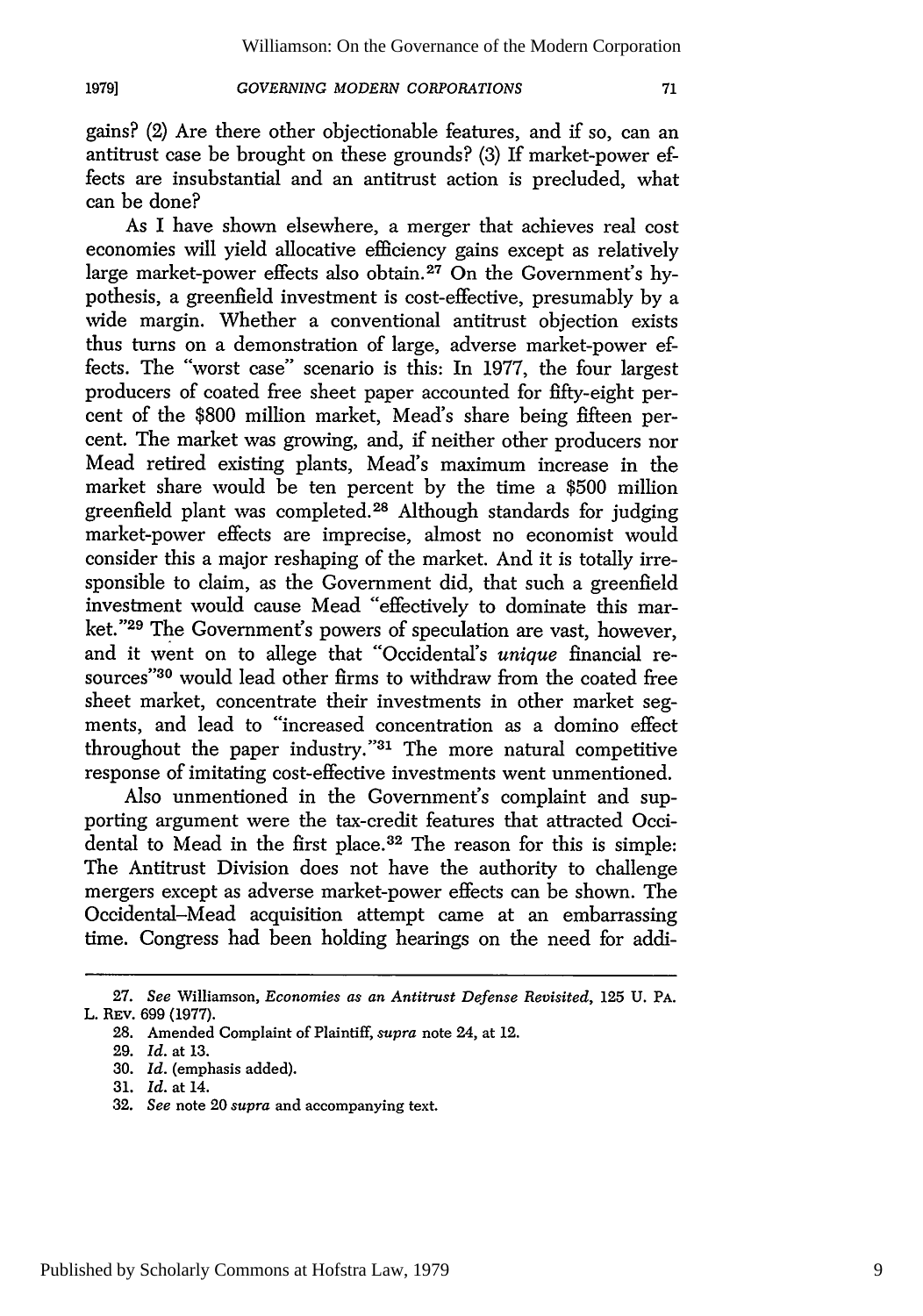gains? (2) Are there other objectionable features, and if so, can an antitrust case be brought on these grounds? (3) If market-power effects are insubstantial and an antitrust action is precluded, what can be done?

As I have shown elsewhere, a merger that achieves real cost economies will yield allocative efficiency gains except as relatively large market-power effects also obtain. 27 On the Government's hypothesis, a greenfield investment is cost-effective, presumably by a wide margin. Whether a conventional antitrust objection exists thus turns on a demonstration of large, adverse market-power effects. The "worst case" scenario is this: In 1977, the four largest producers of coated free sheet paper accounted for fifty-eight percent of the \$800 million market, Mead's share being fifteen percent. The market was growing, and, if neither other producers nor Mead retired existing plants, Mead's maximum increase in the market share would be ten percent by the time a \$500 million greenfield plant was completed. 28 Although standards for judging market-power effects are imprecise, almost no economist would consider this a major reshaping of the market. And it is totally irresponsible to claim, as the Government did, that such a greenfield investment would cause Mead "effectively to dominate this market."<sup>29</sup> The Government's powers of speculation are vast, however, and it went on to allege that "Occidental's *unique* financial resources"<sup>30</sup> would lead other firms to withdraw from the coated free sheet market, concentrate their investments in other market segments, and lead to "increased concentration as a domino effect throughout the paper industry."31 The more natural competitive response of imitating cost-effective investments went unmentioned.

Also unmentioned in the Government's complaint and supporting argument were the tax-credit features that attracted Occidental to Mead in the first place. 32 The reason for this is simple: The Antitrust Division does not have the authority to challenge mergers except as adverse market-power effects can be shown. The Occidental-Mead acquisition attempt came at an embarrassing time. Congress had been holding hearings on the need for addi-

<sup>27.</sup> *See* Williamson, *Economies as an Antitrust Defense Revisited,* 125 U. PA. L. REV. **699 (1977).**

<sup>28.</sup> Amended Complaint of Plaintiff, *supra* note 24, at 12.

<sup>29.</sup> *Id.* at 13.

<sup>30.</sup> *Id.* (emphasis added).

<sup>31.</sup> *Id.* at 14.

<sup>32.</sup> *See* note 20 supra and accompanying text.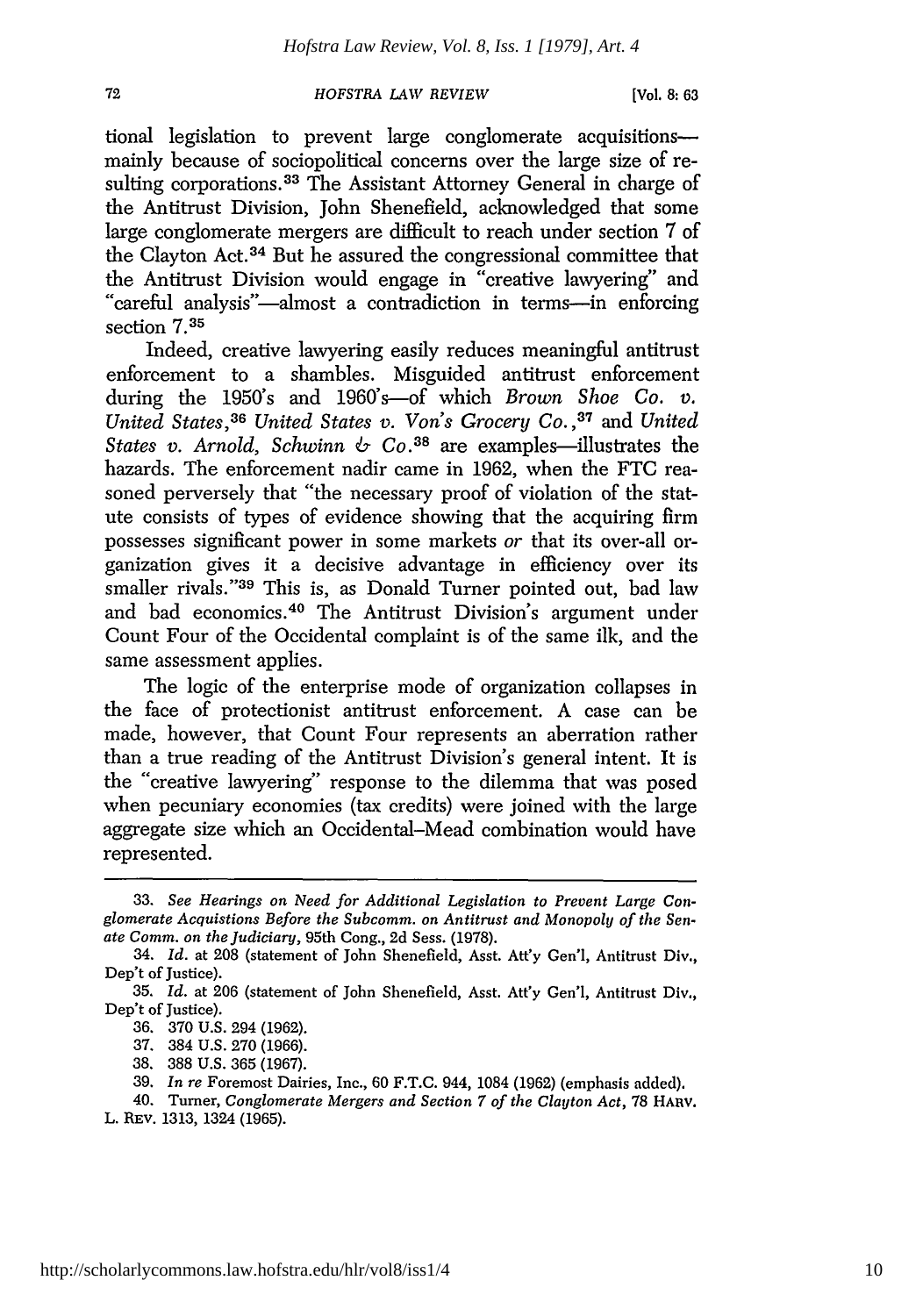tional legislation to prevent large conglomerate acquisitionsmainly because of sociopolitical concerns over the large size of resulting corporations.<sup>33</sup> The Assistant Attorney General in charge of the Antitrust Division, John Shenefield, acknowledged that some large conglomerate mergers are difficult to reach under section 7 of the Clayton Act. 34 But he assured the congressional committee that the Antitrust Division would engage in "creative lawyering" and "careful analysis"-almost a contradiction in terms-in enforcing section 7.35

Indeed, creative lawyering easily reduces meaningful antitrust enforcement to a shambles. Misguided antitrust enforcement during the 1950's and 1960's-of which *Brown Shoe Co. v. United States,36 United States v. Von's Grocery Co.* **,37** and *United States v. Arnold, Schwinn*  $\&$  *Co.*<sup>38</sup> are examples—illustrates the hazards. The enforcement nadir came in 1962, when the FTC reasoned perversely that "the necessary proof of violation of the statute consists of types of evidence showing that the acquiring firm possesses significant power in some markets *or* that its over-all organization gives it a decisive advantage in efficiency over its smaller rivals."39 This is, as Donald Turner pointed out, bad law and bad economics.<sup>40</sup> The Antitrust Division's argument under Count Four of the Occidental complaint is of the same ilk, and the same assessment applies.

The logic of the enterprise mode of organization collapses in the face of protectionist antitrust enforcement. A case can be made, however, that Count Four represents an aberration rather than a true reading of the Antitrust Division's general intent. It is the "creative lawyering" response to the dilemma that was posed when pecuniary economies (tax credits) were joined with the large aggregate size which an Occidental-Mead combination would have represented.

<sup>33.</sup> *See Hearings on Need for Additional Legislation to Prevent Large Conglomerate Acquistions Before the Subcomm. on Antitrust and Monopoly of the Senate Comm. on the Judiciary,* 95th Cong., 2d Sess. (1978).

<sup>34.</sup> *Id.* at 208 (statement of John Shenefield, Asst. Att'y Gen'l, Antitrust Div., Dep't of Justice).

<sup>35.</sup> *Id.* at 206 (statement of John Shenefield, Asst. Att'y Gen'l, Antitrust Div., Dep't of Justice).

<sup>36. 370</sup> U.S. 294 (1962).

<sup>37. 384</sup> U.S. 270 (1966).

<sup>38. 388</sup> U.S. 365 (1967).

<sup>39.</sup> *In re* Foremost Dairies, Inc., 60 F.T.C. 944, 1084 (1962) (emphasis added).

<sup>40.</sup> Turner, *Conglomerate Mergers and Section 7 of the Clayton Act,* 78 HARV. L. REv. 1313, 1324 (1965).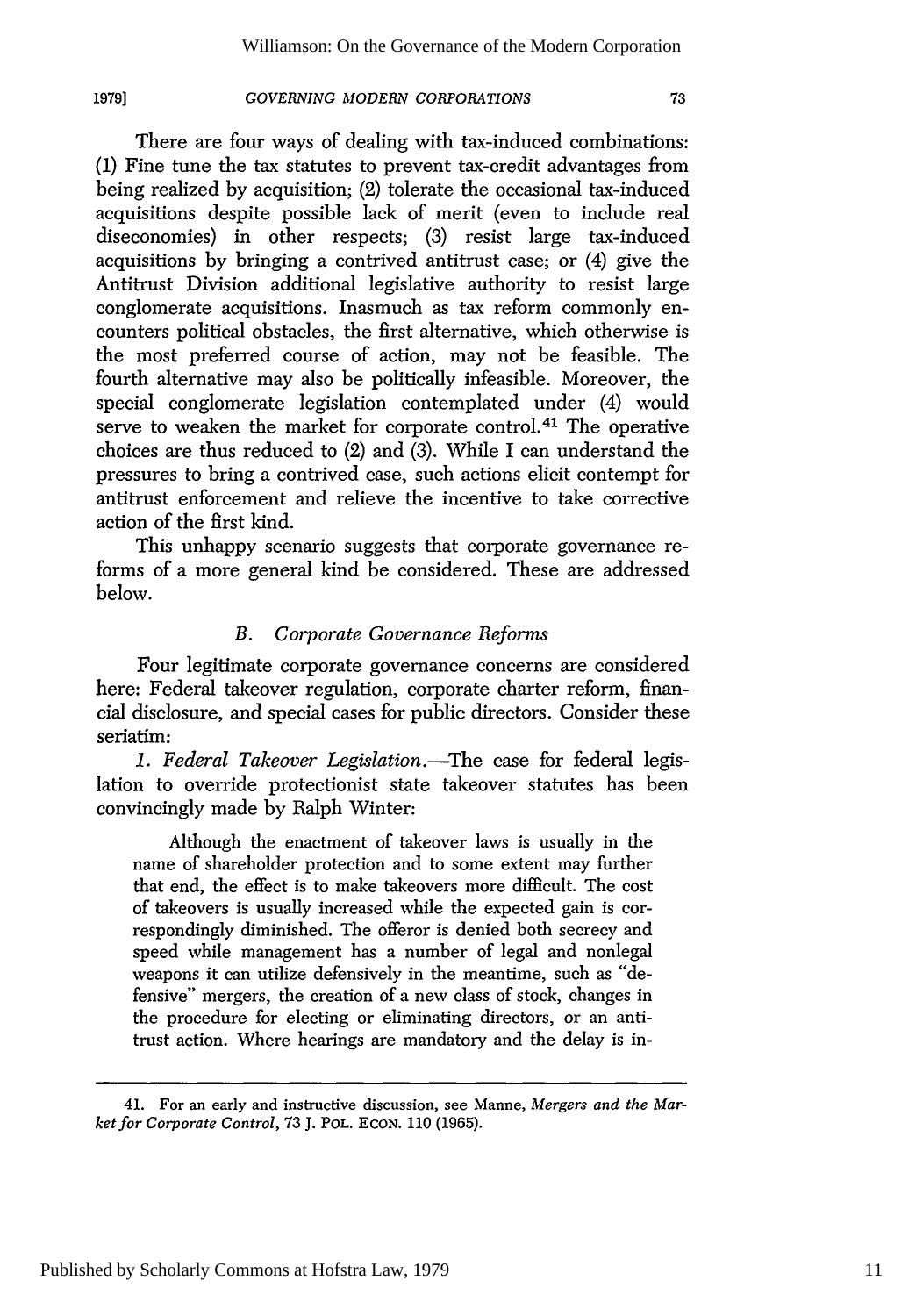# **1979]**

# *GOVERNING MODERN CORPORATIONS*

There are four ways of dealing with tax-induced combinations: (1) Fine tune the tax statutes to prevent tax-credit advantages from being realized by acquisition; (2) tolerate the occasional tax-induced acquisitions despite possible lack of merit (even to include real diseconomies) in other respects; (3) resist large tax-induced acquisitions by bringing a contrived antitrust case; or (4) give the Antitrust Division additional legislative authority to resist large conglomerate acquisitions. Inasmuch as tax reform commonly encounters political obstacles, the first alternative, which otherwise is the most preferred course of action, may not be feasible. The fourth alternative may also be politically infeasible. Moreover, the special conglomerate legislation contemplated under (4) would serve to weaken the market for corporate control.<sup>41</sup> The operative choices are thus reduced to (2) and (3). While I can understand the pressures to bring a contrived case, such actions elicit contempt for antitrust enforcement and relieve the incentive to take corrective action of the first kind.

This unhappy scenario suggests that corporate governance reforms of a more general kind be considered. These are addressed below.

# *B. Corporate Governance Reforms*

Four legitimate corporate governance concerns are considered here: Federal takeover regulation, corporate charter reform, financial disclosure, and special cases for public directors. Consider these seriatim:

*1. Federal Takeover Legislation.-The* case for federal legislation to override protectionist state takeover statutes has been convincingly made by Ralph Winter:

Although the enactment of takeover laws is usually in the name of shareholder protection and to some extent may further that end, the effect is to make takeovers more difficult. The cost of takeovers is usually increased while the expected gain is correspondingly diminished. The offeror is denied both secrecy and speed while management has a number of legal and nonlegal weapons it can utilize defensively in the meantime, such as "defensive" mergers, the creation of a new class of stock, changes in the procedure for electing or eliminating directors, or an antitrust action. Where hearings are mandatory and the delay is in-

<sup>41.</sup> For an early and instructive discussion, see Manne, *Mergers and the Marketfor Corporate Control,* 73 J. POL. **ECON.** 110 (1965).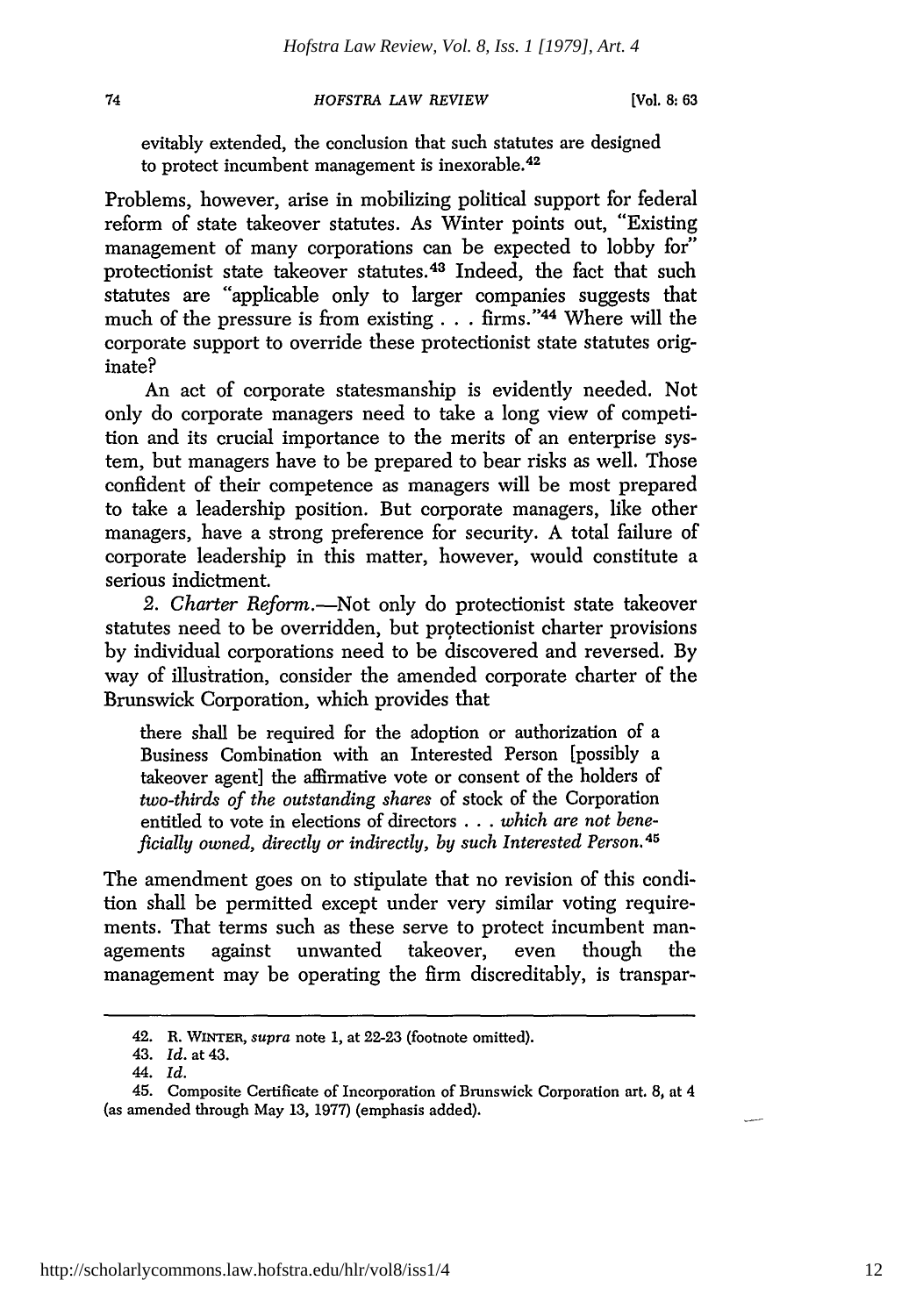**[Vol. 8:63**

evitably extended, the conclusion that such statutes are designed to protect incumbent management is inexorable. <sup>42</sup>

Problems, however, arise in mobilizing political support for federal reform of state takeover statutes. As Winter points out, "Existing management of many corporations can be expected to lobby for" protectionist state takeover statutes. 43 Indeed, the fact that such statutes are "applicable only to larger companies suggests that much of the pressure is from existing **. . .** firms." <sup>4</sup> 4 Where will the corporate support to override these protectionist state statutes originate?

An act of corporate statesmanship is evidently needed. Not only do corporate managers need to take a long view of competition and its crucial importance to the merits of an enterprise system, but managers have to be prepared to bear risks as well. Those confident of their competence as managers will be most prepared to take a leadership position. But corporate managers, like other managers, have a strong preference for security. A total failure of corporate leadership in this matter, however, would constitute a serious indictment.

2. Charter Reform.-Not only do protectionist state takeover statutes need to be overridden, but protectionist charter provisions by individual corporations need to be discovered and reversed. By way of illustration, consider the amended corporate charter of the Brunswick Corporation, which provides that

there shall be required for the adoption or authorization of a Business Combination with an Interested Person [possibly a takeover agent] the affirmative vote or consent of the holders of *two-thirds of the outstanding shares* of stock of the Corporation entitled to vote in elections of directors **...** *which are not beneficially owned, directly or indirectly, by such Interested Person. 45*

The amendment goes on to stipulate that no revision of this condition shall be permitted except under very similar voting requirements. That terms such as these serve to protect incumbent managements against unwanted takeover, even though the management may be operating the firm discreditably, is transpar-

<sup>42.</sup> R. **WINTER,** supra note **1,** at 22-23 (footnote omitted).

<sup>43.</sup> *Id.* at 43.

*<sup>44.</sup> Id.*

<sup>45.</sup> Composite Certificate of Incorporation of Brunswick Corporation art. 8, at 4 (as amended through May **13,** 1977) (emphasis added).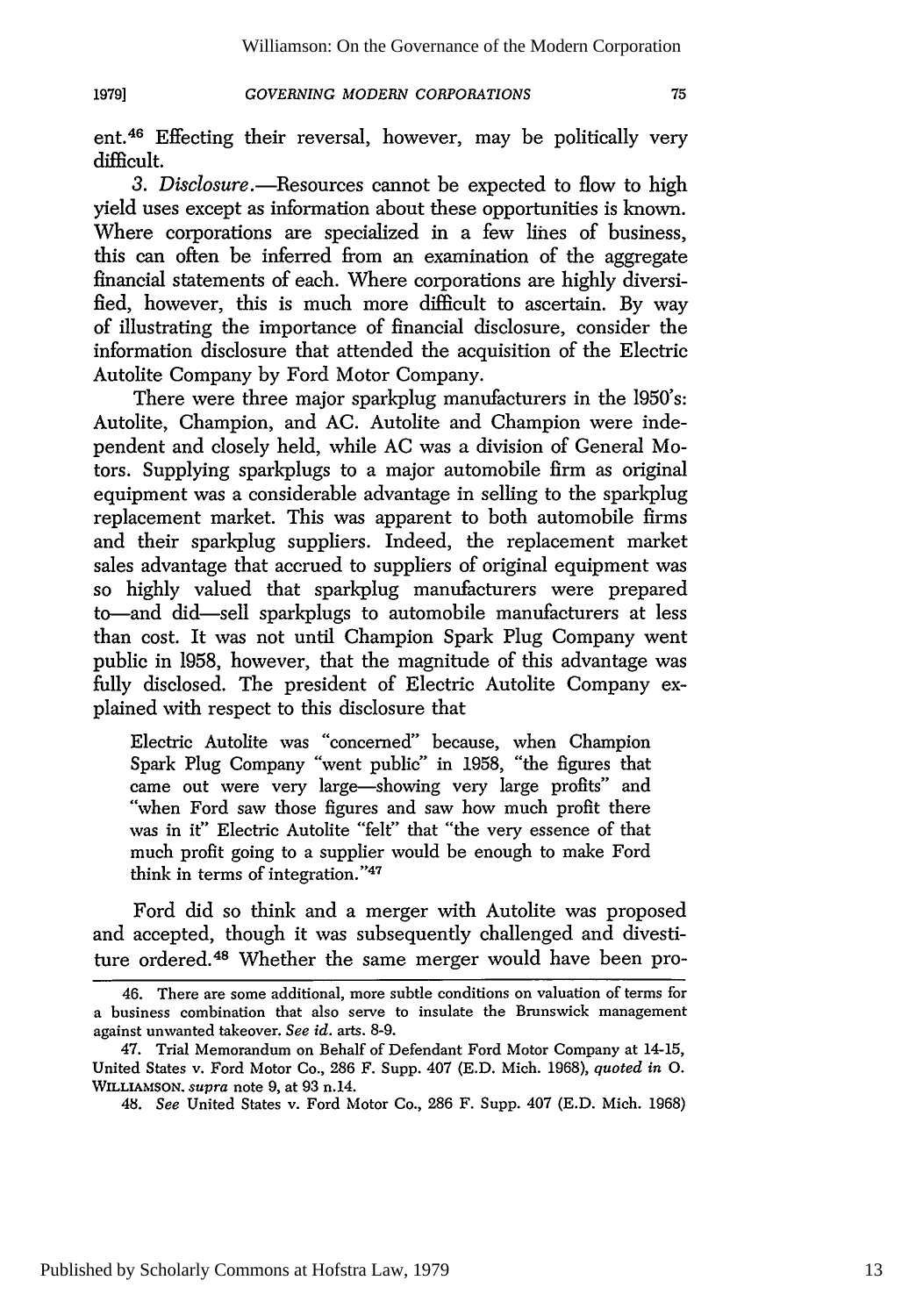ent. 46 Effecting their reversal, however, may be politically very difficult.

*3. Disclosure.-Resources* cannot be expected to flow to high yield uses except as information about these opportunities is known. Where corporations are specialized in a few lines of business, this can often be inferred from an examination of the aggregate financial statements of each. Where corporations are highly diversified, however, this is much more difficult to ascertain. By way of illustrating the importance of financial disclosure, consider the information disclosure that attended the acquisition of the Electric Autolite Company by Ford Motor Company.

There were three major sparkplug manufacturers in the 1950's: Autolite, Champion, and AC. Autolite and Champion were independent and closely held, while AC was a division of General Motors. Supplying sparkplugs to a major automobile firm as original equipment was a considerable advantage in selling to the sparkplug replacement market. This was apparent to both automobile firms and their sparkplug suppliers. Indeed, the replacement market sales advantage that accrued to suppliers of original equipment was so highly valued that sparkplug manufacturers were prepared to-and did-sell sparkplugs to automobile manufacturers at less than cost. It was not until Champion Spark Plug Company went public in 1958, however, that the magnitude of this advantage was fully disclosed. The president of Electric Autolite Company explained with respect to this disclosure that

Electric Autolite was "concerned" because, when Champion Spark Plug Company "went public" in 1958, "the figures that came out were very large-showing very large profits" and "when Ford saw those figures and saw how much profit there was in it" Electric Autolite "felt" that "the very essence of that much profit going to a supplier would be enough to make Ford think in terms of integration."47

Ford did so think and a merger with Autolite was proposed and accepted, though it was subsequently challenged and divestiture ordered.48 Whether the same merger would have been pro-

<sup>46.</sup> There are some additional, more subtle conditions on valuation of terms for a business combination that also serve to insulate the Brunswick management against unwanted takeover. *See id.* arts. 8-9.

<sup>47.</sup> Trial Memorandum on Behalf of Defendant Ford Motor Company at 14-15, United States v. Ford Motor Co., 286 F. Supp. 407 (E.D. Mich. 1968), *quoted in 0.* **WILLIAMSON.** supra note 9, at 93 n.14.

<sup>48.</sup> *See* United States v. Ford Motor Co., 286 F. Supp. 407 (E.D. Mich. 1968)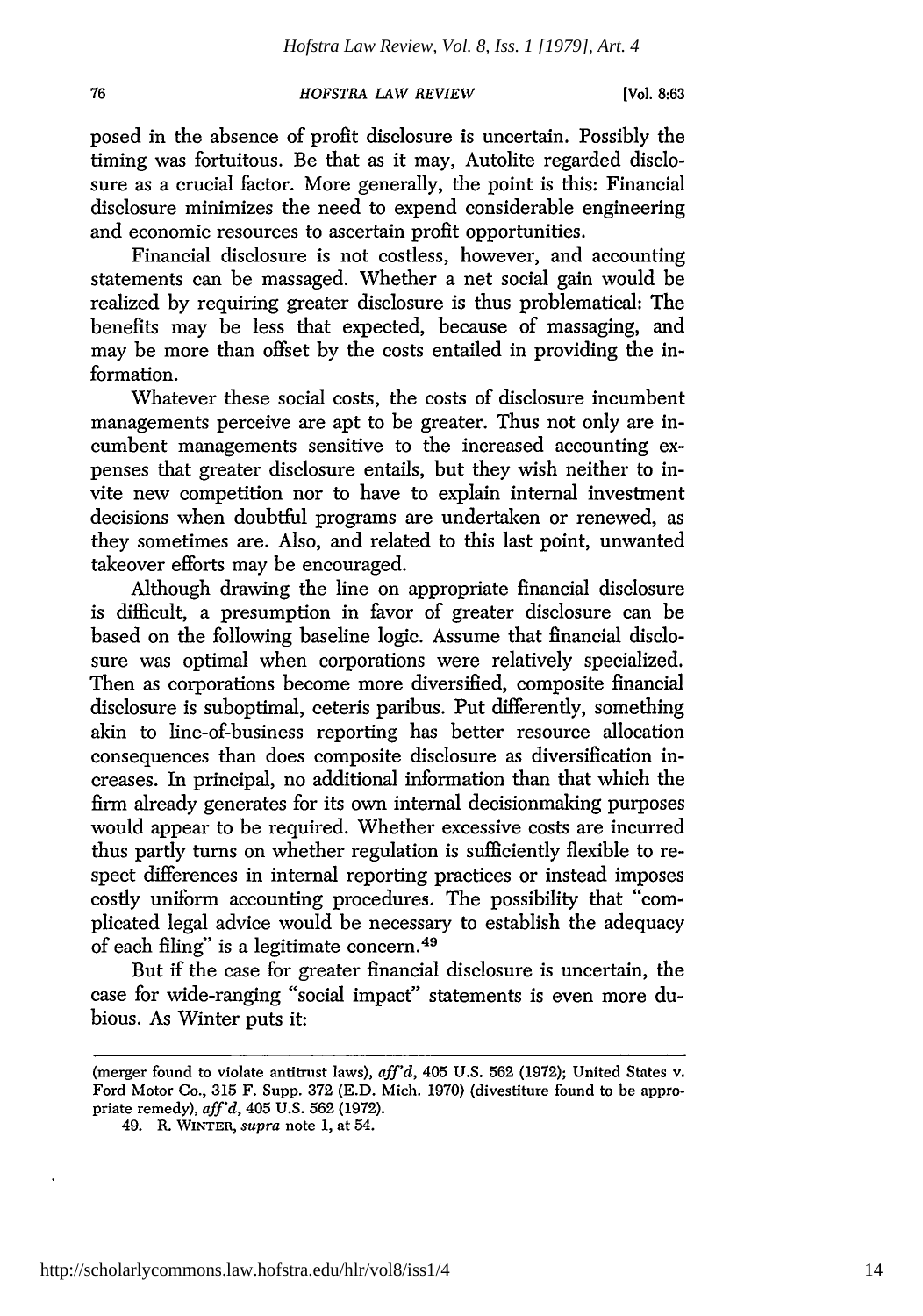76

posed in the absence of profit disclosure is uncertain. Possibly the timing was fortuitous. Be that as it may, Autolite regarded disclosure as a crucial factor. More generally, the point is this: Financial disclosure minimizes the need to expend considerable engineering and economic resources to ascertain profit opportunities.

Financial disclosure is not costless, however, and accounting statements can be massaged. Whether a net social gain would be realized by requiring greater disclosure is thus problematical: The benefits may be less that expected, because of massaging, and may be more than offset by the costs entailed in providing the information.

Whatever these social costs, the costs of disclosure incumbent managements perceive are apt to be greater. Thus not only are incumbent managements sensitive to the increased accounting expenses that greater disclosure entails, but they wish neither to invite new competition nor to have to explain internal investment decisions when doubtful programs are undertaken or renewed, as they sometimes are. Also, and related to this last point, unwanted takeover efforts may be encouraged.

Although drawing the line on appropriate financial disclosure is difficult, a presumption in favor of greater disclosure can be based on the following baseline logic. Assume that financial disclosure was optimal when corporations were relatively specialized. Then as corporations become more diversified, composite financial disclosure is suboptimal, ceteris paribus. Put differently, something akin to line-of-business reporting has better resource allocation consequences than does composite disclosure as diversification increases. In principal, no additional information than that which the firm already generates for its own internal decisionmaking purposes would appear to be required. Whether excessive costs are incurred thus partly turns on whether regulation is sufficiently flexible to respect differences in internal reporting practices or instead imposes costly uniform accounting procedures. The possibility that "complicated legal advice would be necessary to establish the adequacy of each filing" is a legitimate concern.<sup>49</sup>

But if the case for greater financial disclosure is uncertain, the case for wide-ranging "social impact" statements is even more dubious. As Winter puts it:

<sup>(</sup>merger found to violate antitrust laws), *aff'd,* 405 U.S. 562 (1972); United States v. Ford Motor Co., 315 F. Supp. 372 (E.D. Mich. 1970) (divestiture found to be appropriate remedy), *aff'd,* 405 U.S. 562 (1972).

<sup>49.</sup> R. WINTER, *supra* note 1, at 54.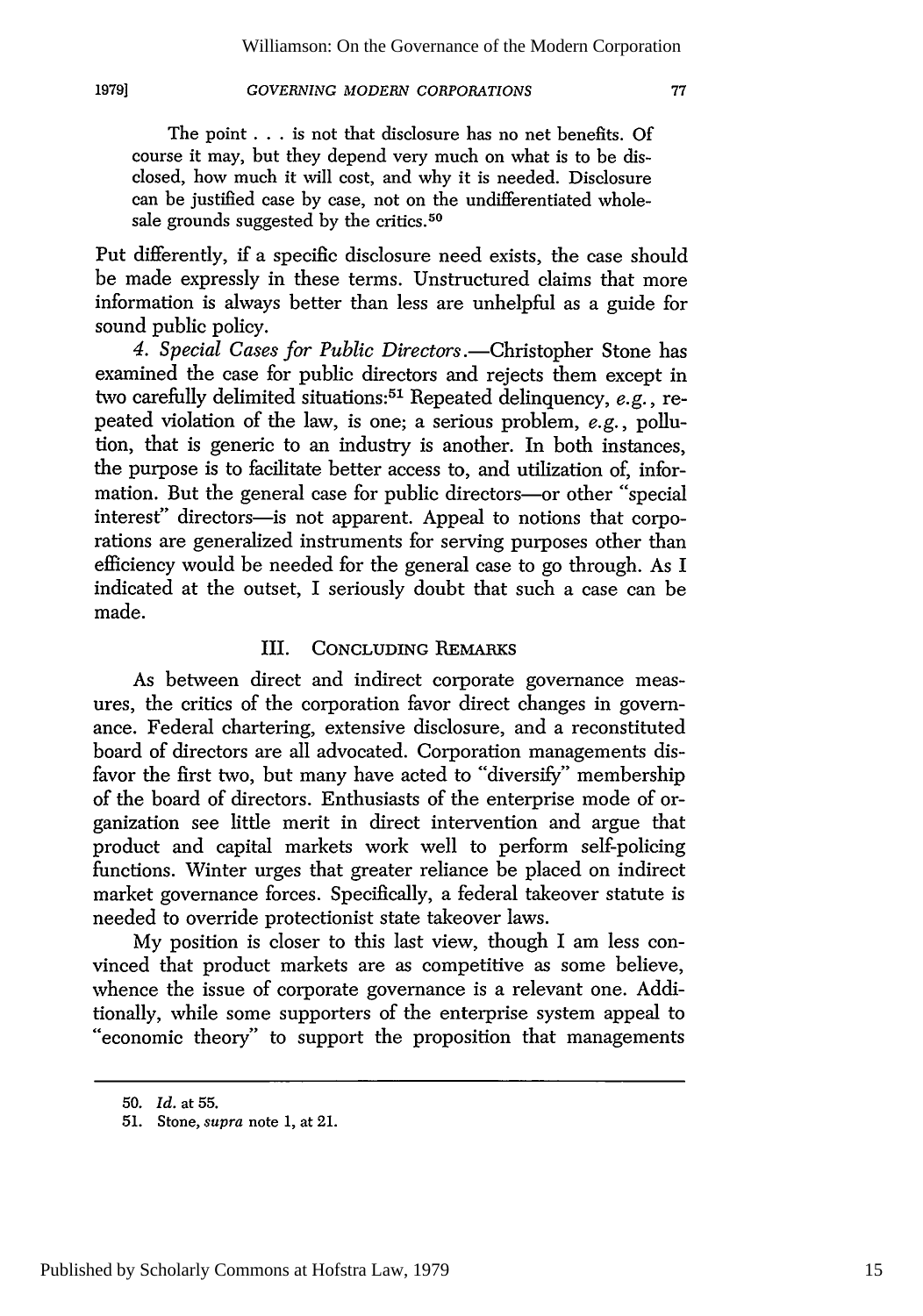### **1979]**

# *GOVERNING MODERN CORPORATIONS*

The point ..**.**is not that disclosure has no net benefits. Of course it may, but they depend very much on what is to be disclosed, how much it will cost, and why it is needed. Disclosure can be justified case by case, not on the undifferentiated wholesale grounds suggested by the critics.<sup>50</sup>

Put differently, if a specific disclosure need exists, the case should be made expressly in these terms. Unstructured claims that more information is always better than less are unhelpful as a guide for sound public policy.

4. Special Cases for Public Directors.—Christopher Stone has examined the case for public directors and rejects them except in two carefully delimited situations:51 Repeated delinquency, *e.g.,* repeated violation of the law, is one; a serious problem, *e.g.,* pollution, that is generic to an industry is another. In both instances, the purpose is to facilitate better access to, and utilization of, information. But the general case for public directors-or other "special" interest" directors-is not apparent. Appeal to notions that corporations are generalized instruments for serving purposes other than efficiency would be needed for the general case to go through. As I indicated at the outset, I seriously doubt that such a case can be made.

# III. CONCLUDING REMARKS

As between direct and indirect corporate governance measures, the critics of the corporation favor direct changes in governance. Federal chartering, extensive disclosure, and a reconstituted board of directors are all advocated. Corporation managements disfavor the first two, but many have acted to "diversify" membership of the board of directors. Enthusiasts of the enterprise mode of organization see little merit in direct intervention and argue that product and capital markets work well to perform self-policing functions. Winter urges that greater reliance be placed on indirect market governance forces. Specifically, a federal takeover statute is needed to override protectionist state takeover laws.

My position is closer to this last view, though I am less convinced that product markets are as competitive as some believe, whence the issue of corporate governance is a relevant one. Additionally, while some supporters of the enterprise system appeal to "economic theory" to support the proposition that managements

**<sup>50.</sup>** *Id.* at **55.**

<sup>51.</sup> Stone, supra note 1, at 21.